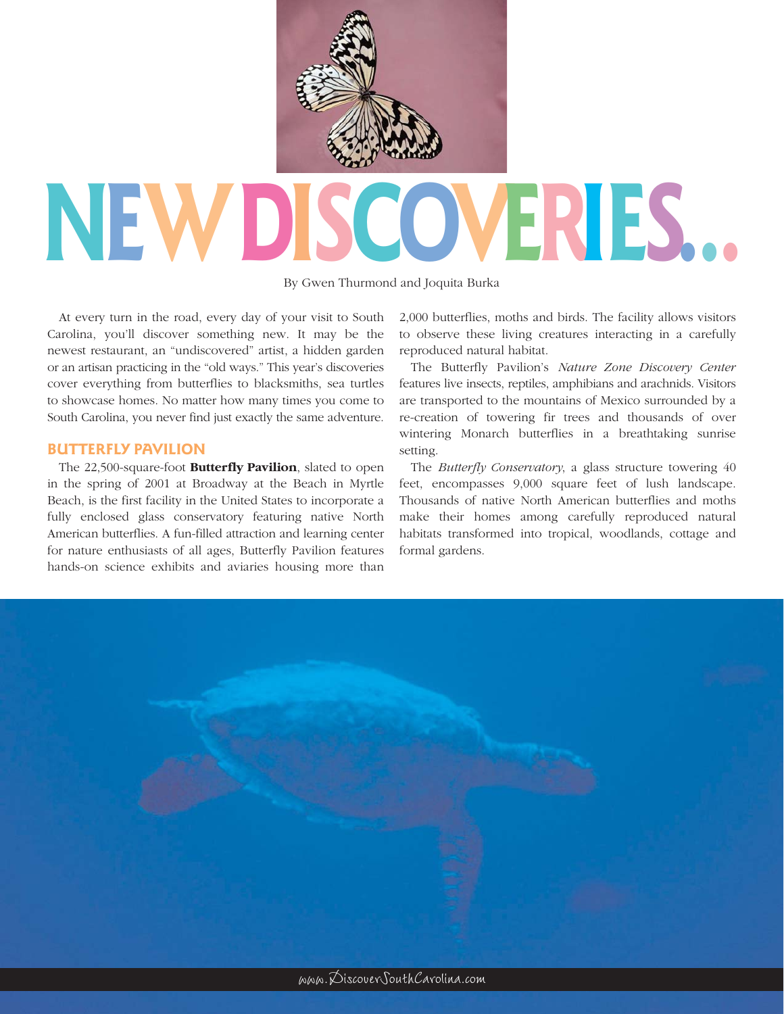

# **NEWD VERIES.**

By Gwen Thurmond and Joquita Burka

At every turn in the road, every day of your visit to South Carolina, you'll discover something new. It may be the newest restaurant, an "undiscovered" artist, a hidden garden or an artisan practicing in the "old ways." This year's discoveries cover everything from butterflies to blacksmiths, sea turtles to showcase homes. No matter how many times you come to South Carolina, you never find just exactly the same adventure.

## **BUTTERFLY PAVILION**

The 22,500-square-foot **Butterfly Pavilion**, slated to open in the spring of 2001 at Broadway at the Beach in Myrtle Beach, is the first facility in the United States to incorporate a fully enclosed glass conservatory featuring native North American butterflies. A fun-filled attraction and learning center for nature enthusiasts of all ages, Butterfly Pavilion features hands-on science exhibits and aviaries housing more than

2,000 butterflies, moths and birds. The facility allows visitors to observe these living creatures interacting in a carefully reproduced natural habitat.

The Butterfly Pavilion's *Nature Zone Discovery Center*  features live insects, reptiles, amphibians and arachnids. Visitors are transported to the mountains of Mexico surrounded by a re-creation of towering fir trees and thousands of over wintering Monarch butterflies in a breathtaking sunrise setting.

The *Butterfly Conservatory*, a glass structure towering 40 feet, encompasses 9,000 square feet of lush landscape. Thousands of native North American butterflies and moths make their homes among carefully reproduced natural habitats transformed into tropical, woodlands, cottage and formal gardens.

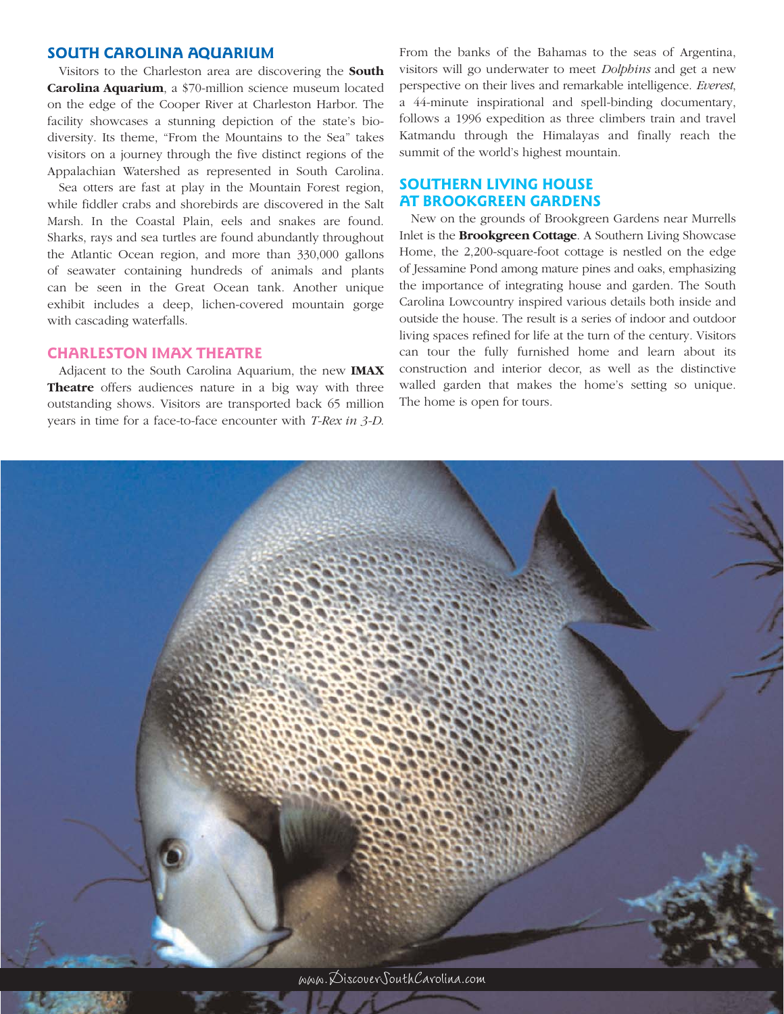## **SOUTH CAROLINA AQUARIUM**

Visitors to the Charleston area are discovering the **South Carolina Aquarium**, a \$70-million science museum located on the edge of the Cooper River at Charleston Harbor. The facility showcases a stunning depiction of the state's biodiversity. Its theme, "From the Mountains to the Sea" takes visitors on a journey through the five distinct regions of the Appalachian Watershed as represented in South Carolina.

Sea otters are fast at play in the Mountain Forest region, while fiddler crabs and shorebirds are discovered in the Salt Marsh. In the Coastal Plain, eels and snakes are found. Sharks, rays and sea turtles are found abundantly throughout the Atlantic Ocean region, and more than 330,000 gallons of seawater containing hundreds of animals and plants can be seen in the Great Ocean tank. Another unique exhibit includes a deep, lichen-covered mountain gorge with cascading waterfalls.

## **CHARLESTON IMAX THEATRE**

Adjacent to the South Carolina Aquarium, the new **IMAX Theatre** offers audiences nature in a big way with three outstanding shows. Visitors are transported back 65 million years in time for a face-to-face encounter with *T-Rex in 3-D*.

From the banks of the Bahamas to the seas of Argentina, visitors will go underwater to meet *Dolphins* and get a new perspective on their lives and remarkable intelligence. *Everest*, a 44-minute inspirational and spell-binding documentary, follows a 1996 expedition as three climbers train and travel Katmandu through the Himalayas and finally reach the summit of the world's highest mountain.

# **SOUTHERN LIVING HOUSE AT BROOKGREEN GARDENS**

New on the grounds of Brookgreen Gardens near Murrells Inlet is the **Brookgreen Cottage**. A Southern Living Showcase Home, the 2,200-square-foot cottage is nestled on the edge of Jessamine Pond among mature pines and oaks, emphasizing the importance of integrating house and garden. The South Carolina Lowcountry inspired various details both inside and outside the house. The result is a series of indoor and outdoor living spaces refined for life at the turn of the century. Visitors can tour the fully furnished home and learn about its construction and interior decor, as well as the distinctive walled garden that makes the home's setting so unique. The home is open for tours.